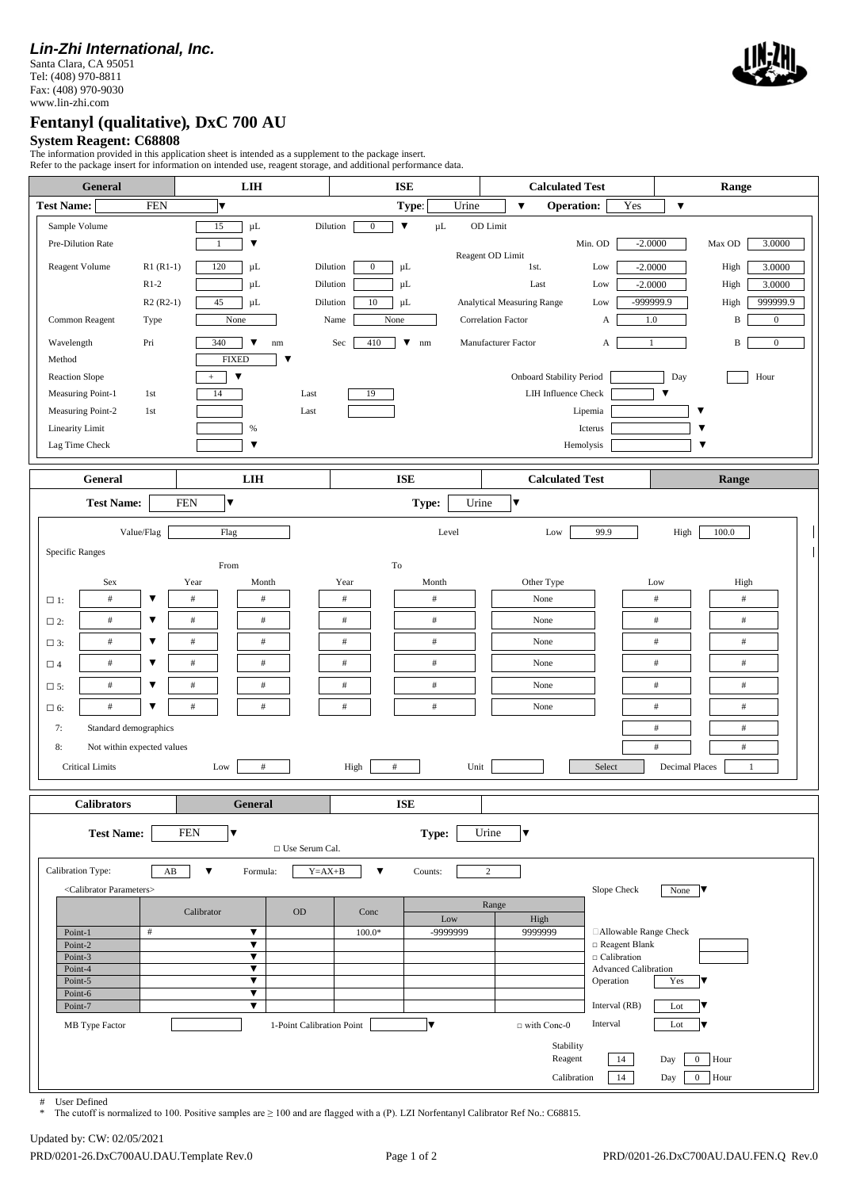## *Lin-Zhi International, Inc.*

Santa Clara, CA 95051 Tel: (408) 970-8811 Fax: (408) 970-9030 www.lin-zhi.com



## **Fentanyl (qualitative)***,* **DxC 700 AU**

**System Reagent: C68808**

The information provided in this application sheet is intended as a supplement to the package insert.

| General                                                                                                                                                                                                                               |                                                                                 | <b>LIH</b>                                                                                                                                                                                | Refer to the package insert for information on intended use, reagent storage, and additional performance data.<br><b>ISE</b>                                                                                          | <b>Calculated Test</b>                                                                                                                                                                                                                                                                                                        | Range                                                                                                                                                                                                                                       |  |  |  |  |  |  |  |
|---------------------------------------------------------------------------------------------------------------------------------------------------------------------------------------------------------------------------------------|---------------------------------------------------------------------------------|-------------------------------------------------------------------------------------------------------------------------------------------------------------------------------------------|-----------------------------------------------------------------------------------------------------------------------------------------------------------------------------------------------------------------------|-------------------------------------------------------------------------------------------------------------------------------------------------------------------------------------------------------------------------------------------------------------------------------------------------------------------------------|---------------------------------------------------------------------------------------------------------------------------------------------------------------------------------------------------------------------------------------------|--|--|--|--|--|--|--|
|                                                                                                                                                                                                                                       |                                                                                 |                                                                                                                                                                                           |                                                                                                                                                                                                                       |                                                                                                                                                                                                                                                                                                                               |                                                                                                                                                                                                                                             |  |  |  |  |  |  |  |
| <b>Test Name:</b><br>Sample Volume<br>Pre-Dilution Rate<br>Reagent Volume<br>Common Reagent<br>Wavelength<br>Method<br><b>Reaction Slope</b><br>Measuring Point-1<br>Measuring Point-2<br><b>Linearity Limit</b>                      | <b>FEN</b><br>$R1 (R1-1)$<br>$R1-2$<br>$R2 (R2-1)$<br>Type<br>Pri<br>1st<br>1st | IV<br>$\mu$ L<br>15<br>▼<br>$\mathbf{1}$<br>120<br>$\mu$ L<br>$\mu$ L<br>45<br>$\mu$ L<br>None<br>340<br>▼<br>$\rm{nm}$<br><b>FIXED</b><br>▼<br>▼<br>$+$<br>14<br>Last<br>$\%$            | Urine<br>Type:<br>$\blacktriangledown$<br>Dilution<br>$\bf{0}$<br>$\mu$ L<br>$\mathbf{0}$<br>Dilution<br>μL<br>Dilution<br>μL<br>Dilution<br>10<br>$\mu$ L<br>Name<br>None<br>410<br>$\nabla$ nm<br>Sec<br>Last<br>19 | Yes<br><b>Operation:</b><br>$\overline{\mathbf{v}}$<br>OD Limit<br>Min. OD<br>Reagent OD Limit<br>1st.<br>Low<br>Last<br>Low<br><b>Analytical Measuring Range</b><br>Low<br><b>Correlation Factor</b><br>А<br>Manufacturer Factor<br>А<br><b>Onboard Stability Period</b><br><b>LIH Influence Check</b><br>Lipemia<br>Icterus | $\blacktriangledown$<br>$-2.0000$<br>Max OD<br>3.0000<br>High<br>$-2.0000$<br>3.0000<br>$-2.0000$<br>High<br>3.0000<br>999999.9<br>-999999.9<br>High<br>$1.0\,$<br>B<br>$\boldsymbol{0}$<br>B<br>$\mathbf{0}$<br>Day<br>Hour<br>▼<br>▼<br>▼ |  |  |  |  |  |  |  |
| Lag Time Check<br>General                                                                                                                                                                                                             |                                                                                 | $\overline{\mathbf{v}}$<br>LIH                                                                                                                                                            | <b>ISE</b>                                                                                                                                                                                                            | Hemolysis<br><b>Calculated Test</b>                                                                                                                                                                                                                                                                                           | ▼<br>Range                                                                                                                                                                                                                                  |  |  |  |  |  |  |  |
| <b>Test Name:</b>                                                                                                                                                                                                                     |                                                                                 | <b>FEN</b><br>▼                                                                                                                                                                           | Type:                                                                                                                                                                                                                 | Urine<br>▼                                                                                                                                                                                                                                                                                                                    |                                                                                                                                                                                                                                             |  |  |  |  |  |  |  |
| <b>Specific Ranges</b><br>Sex<br>$\#$<br>$\Box$ 1:<br>$\#$<br>$\square$ 2:<br>$\#$<br>$\square$ 3:<br>$\#$<br>$\Box$ 4<br>$\#$<br>$\square$ 5:<br>$\#$<br>$\square$ 6:<br>Standard demographics<br>7:<br>8:<br><b>Critical Limits</b> | Value/Flag<br>▼<br>▼<br>▼<br>▼<br>▼<br>▼<br>Not within expected values          | Flag<br>From<br>Year<br>Month<br>$\#$<br>$\#$<br>$\#$<br>$\#$<br>$\#$<br>$\#$<br>$\#$<br>$\#$<br>$\#$<br>$\#$<br>$\#$<br>$\#$<br>Low<br>$\#$                                              | Level<br>To<br>Year<br>Month<br>$\#$<br>$\#$<br>$\#$<br>$\#$<br>$\#$<br>$\#$<br>$\#$<br>$\#$<br>$\#$<br>$\#$<br>$\#$<br>$\#$<br>High<br>$\#$                                                                          | 99.9<br>Low<br>Other Type<br>None<br>None<br>None<br>None<br>None<br>None<br>Unit<br>Select                                                                                                                                                                                                                                   | High<br>100.0<br>High<br>Low<br>$\#$<br>$\#$<br>$\#$<br>$\#$<br>$\#$<br>$\#$<br>$\#$<br>$\#$<br>$\#$<br>$\#$<br>$\#$<br>$\#$<br>$\#$<br>$\#$<br>$\#$<br>$\#$<br><b>Decimal Places</b><br>1                                                  |  |  |  |  |  |  |  |
| <b>Calibrators</b>                                                                                                                                                                                                                    |                                                                                 | <b>General</b>                                                                                                                                                                            | <b>ISE</b>                                                                                                                                                                                                            |                                                                                                                                                                                                                                                                                                                               |                                                                                                                                                                                                                                             |  |  |  |  |  |  |  |
| <b>Test Name:</b><br><b>FEN</b><br>Type:<br>Urine<br>▼<br>▼<br>□ Use Serum Cal.                                                                                                                                                       |                                                                                 |                                                                                                                                                                                           |                                                                                                                                                                                                                       |                                                                                                                                                                                                                                                                                                                               |                                                                                                                                                                                                                                             |  |  |  |  |  |  |  |
| Calibration Type:<br><calibrator parameters=""><br/>Point-1<br/>Point-2<br/>Point-3<br/>Point-4<br/>Point-5<br/>Point-6<br/>Point-7<br/>MB Type Factor</calibrator>                                                                   | AB<br>$\#$                                                                      | $\blacktriangledown$<br>Formula:<br>Calibrator<br>OD<br>$\blacktriangledown$<br>$\blacktriangledown$<br>$\overline{\mathbf{v}}$<br>▼<br>$\blacktriangledown$<br>▼<br>$\blacktriangledown$ | $Y = AX + B$<br>$\blacktriangledown$<br>Counts:<br>Conc<br>Low<br>$100.0*$<br>lv<br>1-Point Calibration Point                                                                                                         | $\overline{c}$<br>Slope Check<br>Range<br>High<br>9999999<br>□Allowable Range Check<br>□ Reagent Blank<br>$\Box$ Calibration<br><b>Advanced Calibration</b><br>Operation<br>Interval (RB)<br>Interval<br>$\Box$ with Conc-0<br>Stability<br>Reagent<br>14<br>14<br>Calibration                                                | None $\blacksquare$<br>Yes<br>Lot<br>Lot<br>Hour<br>$\mathbf{0}$<br>Day<br>0 Hour<br>Day                                                                                                                                                    |  |  |  |  |  |  |  |

# User Defined

The cutoff is normalized to 100. Positive samples are ≥ 100 and are flagged with a (P). LZI Norfentanyl Calibrator Ref No.: C68815.